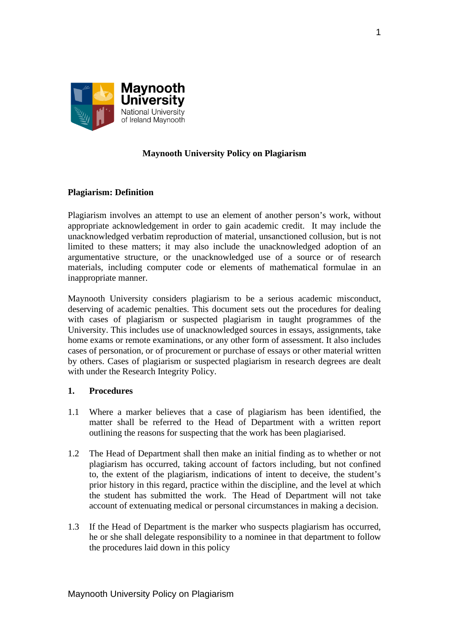

### **Maynooth University Policy on Plagiarism**

### **Plagiarism: Definition**

Plagiarism involves an attempt to use an element of another person's work, without appropriate acknowledgement in order to gain academic credit. It may include the unacknowledged verbatim reproduction of material, unsanctioned collusion, but is not limited to these matters; it may also include the unacknowledged adoption of an argumentative structure, or the unacknowledged use of a source or of research materials, including computer code or elements of mathematical formulae in an inappropriate manner.

Maynooth University considers plagiarism to be a serious academic misconduct, deserving of academic penalties. This document sets out the procedures for dealing with cases of plagiarism or suspected plagiarism in taught programmes of the University. This includes use of unacknowledged sources in essays, assignments, take home exams or remote examinations, or any other form of assessment. It also includes cases of personation, or of procurement or purchase of essays or other material written by others. Cases of plagiarism or suspected plagiarism in research degrees are dealt with under the Research Integrity Policy.

#### **1. Procedures**

- 1.1 Where a marker believes that a case of plagiarism has been identified, the matter shall be referred to the Head of Department with a written report outlining the reasons for suspecting that the work has been plagiarised.
- 1.2 The Head of Department shall then make an initial finding as to whether or not plagiarism has occurred, taking account of factors including, but not confined to, the extent of the plagiarism, indications of intent to deceive, the student's prior history in this regard, practice within the discipline, and the level at which the student has submitted the work. The Head of Department will not take account of extenuating medical or personal circumstances in making a decision.
- 1.3 If the Head of Department is the marker who suspects plagiarism has occurred, he or she shall delegate responsibility to a nominee in that department to follow the procedures laid down in this policy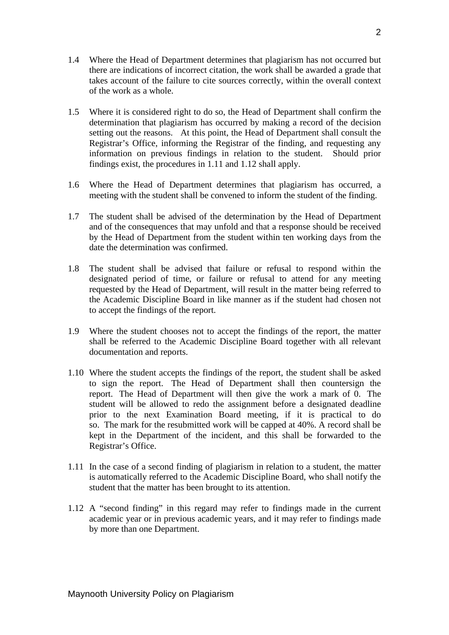- 1.4 Where the Head of Department determines that plagiarism has not occurred but there are indications of incorrect citation, the work shall be awarded a grade that takes account of the failure to cite sources correctly, within the overall context of the work as a whole.
- 1.5 Where it is considered right to do so, the Head of Department shall confirm the determination that plagiarism has occurred by making a record of the decision setting out the reasons. At this point, the Head of Department shall consult the Registrar's Office, informing the Registrar of the finding, and requesting any information on previous findings in relation to the student. Should prior findings exist, the procedures in 1.11 and 1.12 shall apply.
- 1.6 Where the Head of Department determines that plagiarism has occurred, a meeting with the student shall be convened to inform the student of the finding.
- 1.7 The student shall be advised of the determination by the Head of Department and of the consequences that may unfold and that a response should be received by the Head of Department from the student within ten working days from the date the determination was confirmed.
- 1.8 The student shall be advised that failure or refusal to respond within the designated period of time, or failure or refusal to attend for any meeting requested by the Head of Department, will result in the matter being referred to the Academic Discipline Board in like manner as if the student had chosen not to accept the findings of the report.
- 1.9 Where the student chooses not to accept the findings of the report, the matter shall be referred to the Academic Discipline Board together with all relevant documentation and reports.
- 1.10 Where the student accepts the findings of the report, the student shall be asked to sign the report. The Head of Department shall then countersign the report. The Head of Department will then give the work a mark of 0. The student will be allowed to redo the assignment before a designated deadline prior to the next Examination Board meeting, if it is practical to do so. The mark for the resubmitted work will be capped at 40%. A record shall be kept in the Department of the incident, and this shall be forwarded to the Registrar's Office.
- 1.11 In the case of a second finding of plagiarism in relation to a student, the matter is automatically referred to the Academic Discipline Board, who shall notify the student that the matter has been brought to its attention.
- 1.12 A "second finding" in this regard may refer to findings made in the current academic year or in previous academic years, and it may refer to findings made by more than one Department.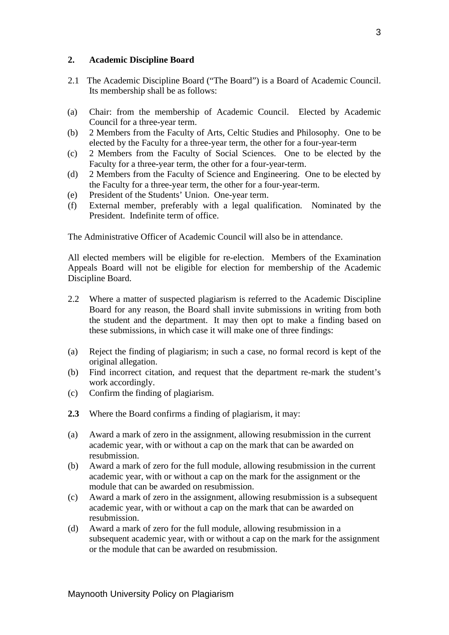#### **2. Academic Discipline Board**

- 2.1 The Academic Discipline Board ("The Board") is a Board of Academic Council. Its membership shall be as follows:
- (a) Chair: from the membership of Academic Council. Elected by Academic Council for a three-year term.
- (b) 2 Members from the Faculty of Arts, Celtic Studies and Philosophy. One to be elected by the Faculty for a three-year term, the other for a four-year-term
- (c) 2 Members from the Faculty of Social Sciences. One to be elected by the Faculty for a three-year term, the other for a four-year-term.
- (d) 2 Members from the Faculty of Science and Engineering. One to be elected by the Faculty for a three-year term, the other for a four-year-term.
- (e) President of the Students' Union. One-year term.
- (f) External member, preferably with a legal qualification. Nominated by the President. Indefinite term of office.

The Administrative Officer of Academic Council will also be in attendance.

All elected members will be eligible for re-election. Members of the Examination Appeals Board will not be eligible for election for membership of the Academic Discipline Board.

- 2.2 Where a matter of suspected plagiarism is referred to the Academic Discipline Board for any reason, the Board shall invite submissions in writing from both the student and the department. It may then opt to make a finding based on these submissions, in which case it will make one of three findings:
- (a) Reject the finding of plagiarism; in such a case, no formal record is kept of the original allegation.
- (b) Find incorrect citation, and request that the department re-mark the student's work accordingly.
- (c) Confirm the finding of plagiarism.
- **2.3** Where the Board confirms a finding of plagiarism, it may:
- (a) Award a mark of zero in the assignment, allowing resubmission in the current academic year, with or without a cap on the mark that can be awarded on resubmission.
- (b) Award a mark of zero for the full module, allowing resubmission in the current academic year, with or without a cap on the mark for the assignment or the module that can be awarded on resubmission.
- (c) Award a mark of zero in the assignment, allowing resubmission is a subsequent academic year, with or without a cap on the mark that can be awarded on resubmission.
- (d) Award a mark of zero for the full module, allowing resubmission in a subsequent academic year, with or without a cap on the mark for the assignment or the module that can be awarded on resubmission.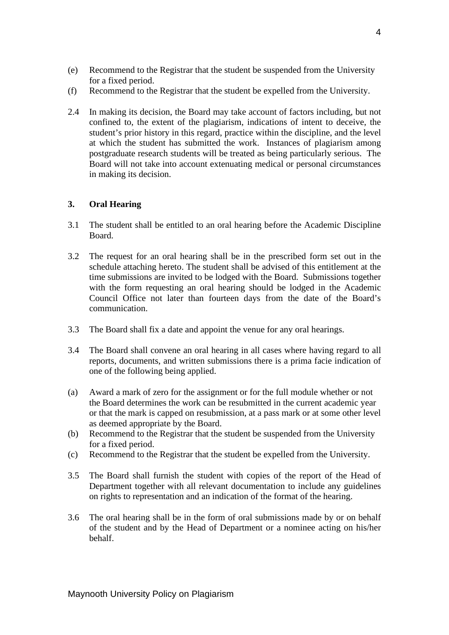- (e) Recommend to the Registrar that the student be suspended from the University for a fixed period.
- (f) Recommend to the Registrar that the student be expelled from the University.
- 2.4 In making its decision, the Board may take account of factors including, but not confined to, the extent of the plagiarism, indications of intent to deceive, the student's prior history in this regard, practice within the discipline, and the level at which the student has submitted the work. Instances of plagiarism among postgraduate research students will be treated as being particularly serious. The Board will not take into account extenuating medical or personal circumstances in making its decision.

### **3. Oral Hearing**

- 3.1 The student shall be entitled to an oral hearing before the Academic Discipline Board.
- 3.2 The request for an oral hearing shall be in the prescribed form set out in the schedule attaching hereto. The student shall be advised of this entitlement at the time submissions are invited to be lodged with the Board. Submissions together with the form requesting an oral hearing should be lodged in the Academic Council Office not later than fourteen days from the date of the Board's communication.
- 3.3 The Board shall fix a date and appoint the venue for any oral hearings.
- 3.4 The Board shall convene an oral hearing in all cases where having regard to all reports, documents, and written submissions there is a prima facie indication of one of the following being applied.
- (a) Award a mark of zero for the assignment or for the full module whether or not the Board determines the work can be resubmitted in the current academic year or that the mark is capped on resubmission, at a pass mark or at some other level as deemed appropriate by the Board.
- (b) Recommend to the Registrar that the student be suspended from the University for a fixed period.
- (c) Recommend to the Registrar that the student be expelled from the University.
- 3.5 The Board shall furnish the student with copies of the report of the Head of Department together with all relevant documentation to include any guidelines on rights to representation and an indication of the format of the hearing.
- 3.6 The oral hearing shall be in the form of oral submissions made by or on behalf of the student and by the Head of Department or a nominee acting on his/her behalf.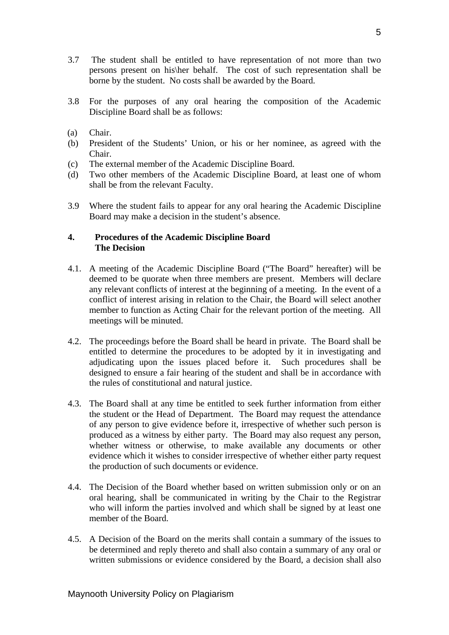- 3.7 The student shall be entitled to have representation of not more than two persons present on his\her behalf. The cost of such representation shall be borne by the student. No costs shall be awarded by the Board.
- 3.8 For the purposes of any oral hearing the composition of the Academic Discipline Board shall be as follows:
- (a) Chair.
- (b) President of the Students' Union, or his or her nominee, as agreed with the Chair.
- (c) The external member of the Academic Discipline Board.
- (d) Two other members of the Academic Discipline Board, at least one of whom shall be from the relevant Faculty.
- 3.9 Where the student fails to appear for any oral hearing the Academic Discipline Board may make a decision in the student's absence.

#### **4. Procedures of the Academic Discipline Board The Decision**

- 4.1. A meeting of the Academic Discipline Board ("The Board" hereafter) will be deemed to be quorate when three members are present. Members will declare any relevant conflicts of interest at the beginning of a meeting. In the event of a conflict of interest arising in relation to the Chair, the Board will select another member to function as Acting Chair for the relevant portion of the meeting. All meetings will be minuted.
- 4.2. The proceedings before the Board shall be heard in private. The Board shall be entitled to determine the procedures to be adopted by it in investigating and adjudicating upon the issues placed before it. Such procedures shall be designed to ensure a fair hearing of the student and shall be in accordance with the rules of constitutional and natural justice.
- 4.3. The Board shall at any time be entitled to seek further information from either the student or the Head of Department. The Board may request the attendance of any person to give evidence before it, irrespective of whether such person is produced as a witness by either party. The Board may also request any person, whether witness or otherwise, to make available any documents or other evidence which it wishes to consider irrespective of whether either party request the production of such documents or evidence.
- 4.4. The Decision of the Board whether based on written submission only or on an oral hearing, shall be communicated in writing by the Chair to the Registrar who will inform the parties involved and which shall be signed by at least one member of the Board.
- 4.5. A Decision of the Board on the merits shall contain a summary of the issues to be determined and reply thereto and shall also contain a summary of any oral or written submissions or evidence considered by the Board, a decision shall also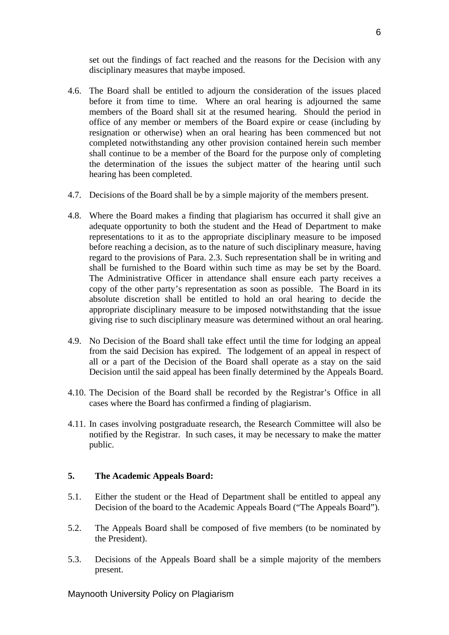set out the findings of fact reached and the reasons for the Decision with any disciplinary measures that maybe imposed.

- 4.6. The Board shall be entitled to adjourn the consideration of the issues placed before it from time to time. Where an oral hearing is adjourned the same members of the Board shall sit at the resumed hearing. Should the period in office of any member or members of the Board expire or cease (including by resignation or otherwise) when an oral hearing has been commenced but not completed notwithstanding any other provision contained herein such member shall continue to be a member of the Board for the purpose only of completing the determination of the issues the subject matter of the hearing until such hearing has been completed.
- 4.7. Decisions of the Board shall be by a simple majority of the members present.
- 4.8. Where the Board makes a finding that plagiarism has occurred it shall give an adequate opportunity to both the student and the Head of Department to make representations to it as to the appropriate disciplinary measure to be imposed before reaching a decision, as to the nature of such disciplinary measure, having regard to the provisions of Para. 2.3. Such representation shall be in writing and shall be furnished to the Board within such time as may be set by the Board. The Administrative Officer in attendance shall ensure each party receives a copy of the other party's representation as soon as possible. The Board in its absolute discretion shall be entitled to hold an oral hearing to decide the appropriate disciplinary measure to be imposed notwithstanding that the issue giving rise to such disciplinary measure was determined without an oral hearing.
- 4.9. No Decision of the Board shall take effect until the time for lodging an appeal from the said Decision has expired. The lodgement of an appeal in respect of all or a part of the Decision of the Board shall operate as a stay on the said Decision until the said appeal has been finally determined by the Appeals Board.
- 4.10. The Decision of the Board shall be recorded by the Registrar's Office in all cases where the Board has confirmed a finding of plagiarism.
- 4.11. In cases involving postgraduate research, the Research Committee will also be notified by the Registrar. In such cases, it may be necessary to make the matter public.

#### **5. The Academic Appeals Board:**

- 5.1. Either the student or the Head of Department shall be entitled to appeal any Decision of the board to the Academic Appeals Board ("The Appeals Board").
- 5.2. The Appeals Board shall be composed of five members (to be nominated by the President).
- 5.3. Decisions of the Appeals Board shall be a simple majority of the members present.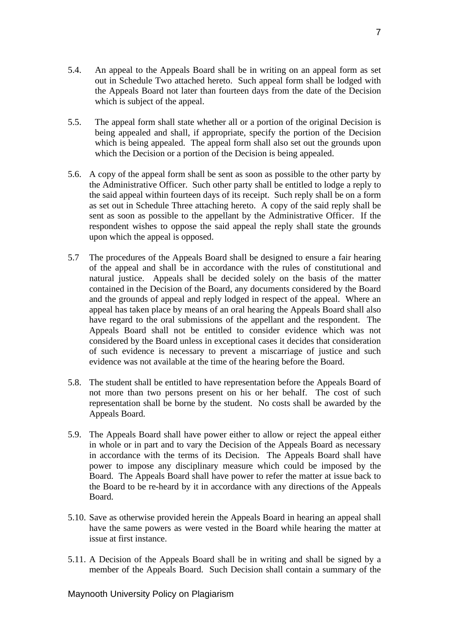- 5.4. An appeal to the Appeals Board shall be in writing on an appeal form as set out in Schedule Two attached hereto. Such appeal form shall be lodged with the Appeals Board not later than fourteen days from the date of the Decision which is subject of the appeal.
- 5.5. The appeal form shall state whether all or a portion of the original Decision is being appealed and shall, if appropriate, specify the portion of the Decision which is being appealed. The appeal form shall also set out the grounds upon which the Decision or a portion of the Decision is being appealed.
- 5.6. A copy of the appeal form shall be sent as soon as possible to the other party by the Administrative Officer. Such other party shall be entitled to lodge a reply to the said appeal within fourteen days of its receipt. Such reply shall be on a form as set out in Schedule Three attaching hereto. A copy of the said reply shall be sent as soon as possible to the appellant by the Administrative Officer. If the respondent wishes to oppose the said appeal the reply shall state the grounds upon which the appeal is opposed.
- 5.7 The procedures of the Appeals Board shall be designed to ensure a fair hearing of the appeal and shall be in accordance with the rules of constitutional and natural justice. Appeals shall be decided solely on the basis of the matter contained in the Decision of the Board, any documents considered by the Board and the grounds of appeal and reply lodged in respect of the appeal. Where an appeal has taken place by means of an oral hearing the Appeals Board shall also have regard to the oral submissions of the appellant and the respondent. The Appeals Board shall not be entitled to consider evidence which was not considered by the Board unless in exceptional cases it decides that consideration of such evidence is necessary to prevent a miscarriage of justice and such evidence was not available at the time of the hearing before the Board.
- 5.8. The student shall be entitled to have representation before the Appeals Board of not more than two persons present on his or her behalf. The cost of such representation shall be borne by the student. No costs shall be awarded by the Appeals Board.
- 5.9. The Appeals Board shall have power either to allow or reject the appeal either in whole or in part and to vary the Decision of the Appeals Board as necessary in accordance with the terms of its Decision. The Appeals Board shall have power to impose any disciplinary measure which could be imposed by the Board. The Appeals Board shall have power to refer the matter at issue back to the Board to be re-heard by it in accordance with any directions of the Appeals Board.
- 5.10. Save as otherwise provided herein the Appeals Board in hearing an appeal shall have the same powers as were vested in the Board while hearing the matter at issue at first instance.
- 5.11. A Decision of the Appeals Board shall be in writing and shall be signed by a member of the Appeals Board. Such Decision shall contain a summary of the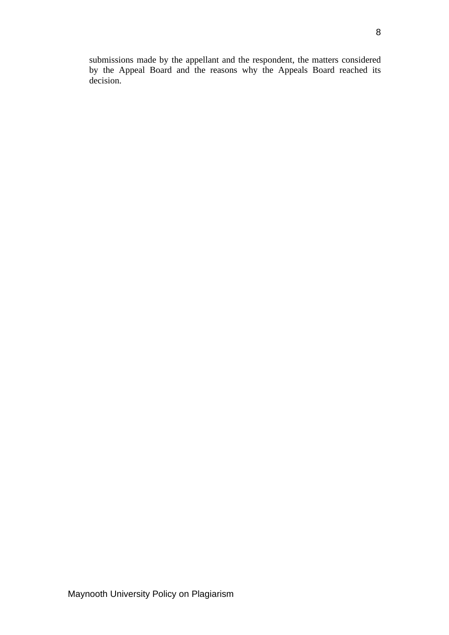submissions made by the appellant and the respondent, the matters considered by the Appeal Board and the reasons why the Appeals Board reached its decision.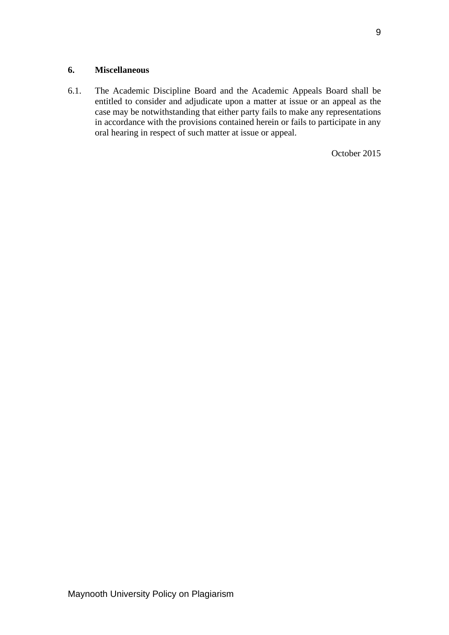#### **6. Miscellaneous**

6.1. The Academic Discipline Board and the Academic Appeals Board shall be entitled to consider and adjudicate upon a matter at issue or an appeal as the case may be notwithstanding that either party fails to make any representations in accordance with the provisions contained herein or fails to participate in any oral hearing in respect of such matter at issue or appeal.

October 2015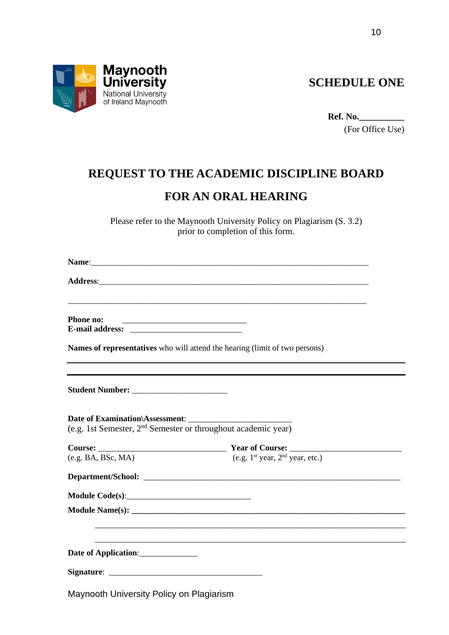

**SCHEDULE ONE**

**Ref. No.\_\_\_\_\_\_\_\_\_\_**

(For Office Use)

# **REQUEST TO THE ACADEMIC DISCIPLINE BOARD**

### **FOR AN ORAL HEARING**

Please refer to the Maynooth University Policy on Plagiarism (S. 3.2) prior to completion of this form.

| NT.<br>Name: |     |  |
|--------------|-----|--|
|              | ___ |  |

**Address:** 

**Phone no: E-mail address:** \_\_\_\_\_\_\_\_\_\_\_\_\_\_\_\_\_\_\_\_\_\_\_\_\_\_\_

**Names of representatives** who will attend the hearing (limit of two persons)

\_\_\_\_\_\_\_\_\_\_\_\_\_\_\_\_\_\_\_\_\_\_\_\_\_\_\_\_\_\_\_\_\_\_\_\_\_\_\_\_\_\_\_\_\_\_\_\_\_\_\_\_\_\_\_\_\_\_\_\_\_\_\_\_\_\_\_\_\_\_\_\_

**Student Number:** \_\_\_\_\_\_\_\_\_\_\_\_\_\_\_\_\_\_\_\_\_\_\_

**Date of Examination\Assessment**: \_\_\_\_\_\_\_\_\_\_\_\_\_\_\_\_\_\_\_\_\_\_\_\_\_ (e.g. 1st Semester, 2nd Semester or throughout academic year)

|                                          | Course: $\frac{\text{Year of Course:}}{(\text{e.g. BA, BSc, MA)}}$ Year of Course: $\frac{\text{Year of Course:}}{(\text{e.g. 1st year, 2nd year, etc.})}$ |
|------------------------------------------|------------------------------------------------------------------------------------------------------------------------------------------------------------|
|                                          |                                                                                                                                                            |
|                                          |                                                                                                                                                            |
|                                          |                                                                                                                                                            |
|                                          |                                                                                                                                                            |
|                                          |                                                                                                                                                            |
| Date of Application:                     |                                                                                                                                                            |
|                                          |                                                                                                                                                            |
| Maynooth University Policy on Plagiarism |                                                                                                                                                            |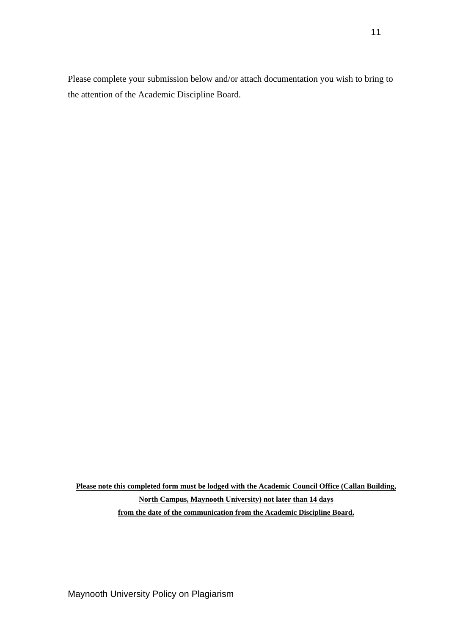Please complete your submission below and/or attach documentation you wish to bring to the attention of the Academic Discipline Board.

**Please note this completed form must be lodged with the Academic Council Office (Callan Building, North Campus, Maynooth University) not later than 14 days from the date of the communication from the Academic Discipline Board.**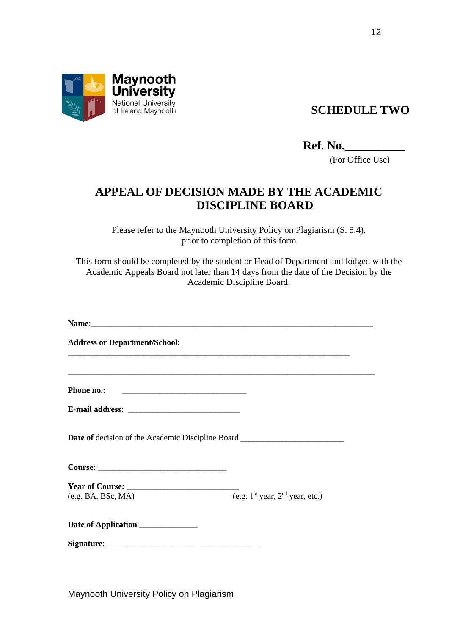

## **SCHEDULE TWO**

**Ref. No.\_\_\_\_\_\_\_\_\_\_**

(For Office Use)

## **APPEAL OF DECISION MADE BY THE ACADEMIC DISCIPLINE BOARD**

Please refer to the Maynooth University Policy on Plagiarism (S. 5.4). prior to completion of this form

This form should be completed by the student or Head of Department and lodged with the Academic Appeals Board not later than 14 days from the date of the Decision by the Academic Discipline Board.

Name: **Address or Department/School**: \_\_\_\_\_\_\_\_\_\_\_\_\_\_\_\_\_\_\_\_\_\_\_\_\_\_\_\_\_\_\_\_\_\_\_\_\_\_\_\_\_\_\_\_\_\_\_\_\_\_\_\_\_\_\_\_\_\_\_\_\_\_\_\_\_\_\_\_ \_\_\_\_\_\_\_\_\_\_\_\_\_\_\_\_\_\_\_\_\_\_\_\_\_\_\_\_\_\_\_\_\_\_\_\_\_\_\_\_\_\_\_\_\_\_\_\_\_\_\_\_\_\_\_\_\_\_\_\_\_\_\_\_\_\_\_\_\_\_\_\_\_\_ Phone no.: **E-mail address:** \_\_\_\_\_\_\_\_\_\_\_\_\_\_\_\_\_\_\_\_\_\_\_\_\_\_\_ **Date of** decision of the Academic Discipline Board \_\_\_\_\_\_\_\_\_\_\_\_\_\_\_\_\_\_\_\_\_\_\_\_\_ Course: **Year of Course:** \_\_\_\_\_\_\_\_\_\_\_\_\_\_\_\_\_\_\_\_\_\_\_\_\_\_\_ (e.g. BA, BSc, MA)  $(e.g. 1<sup>st</sup> year, 2<sup>nd</sup> year, etc.)$ **Date of Application**:\_\_\_\_\_\_\_\_\_\_\_\_\_\_ Signature: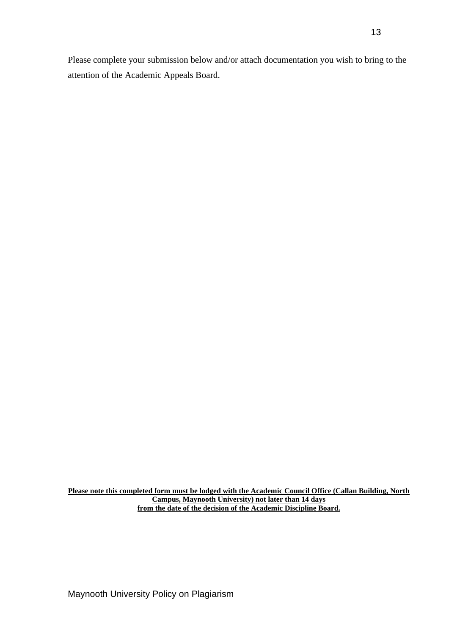Please complete your submission below and/or attach documentation you wish to bring to the attention of the Academic Appeals Board.

**Please note this completed form must be lodged with the Academic Council Office (Callan Building, North Campus, Maynooth University) not later than 14 days from the date of the decision of the Academic Discipline Board.**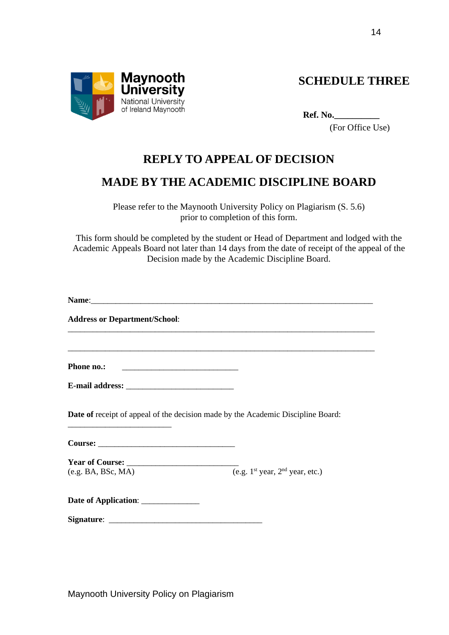

**SCHEDULE THREE**

**Ref. No.\_\_\_\_\_\_\_\_\_\_**

(For Office Use)

### **REPLY TO APPEAL OF DECISION**

## **MADE BY THE ACADEMIC DISCIPLINE BOARD**

Please refer to the Maynooth University Policy on Plagiarism (S. 5.6) prior to completion of this form.

This form should be completed by the student or Head of Department and lodged with the Academic Appeals Board not later than 14 days from the date of receipt of the appeal of the Decision made by the Academic Discipline Board.

**Name:**  $\blacksquare$ 

**Address or Department/School**:

**Phone no.:** \_\_\_\_\_\_\_\_\_\_\_\_\_\_\_\_\_\_\_\_\_\_\_\_\_\_\_\_

\_\_\_\_\_\_\_\_\_\_\_\_\_\_\_\_\_\_\_\_\_\_\_\_\_

**E-mail address:** \_\_\_\_\_\_\_\_\_\_\_\_\_\_\_\_\_\_\_\_\_\_\_\_\_\_

**Date of** receipt of appeal of the decision made by the Academic Discipline Board:

\_\_\_\_\_\_\_\_\_\_\_\_\_\_\_\_\_\_\_\_\_\_\_\_\_\_\_\_\_\_\_\_\_\_\_\_\_\_\_\_\_\_\_\_\_\_\_\_\_\_\_\_\_\_\_\_\_\_\_\_\_\_\_\_\_\_\_\_\_\_\_\_\_\_

\_\_\_\_\_\_\_\_\_\_\_\_\_\_\_\_\_\_\_\_\_\_\_\_\_\_\_\_\_\_\_\_\_\_\_\_\_\_\_\_\_\_\_\_\_\_\_\_\_\_\_\_\_\_\_\_\_\_\_\_\_\_\_\_\_\_\_\_\_\_\_\_\_\_

Course:

**Year of Course:** \_\_\_\_\_\_\_\_\_\_\_\_\_\_\_\_\_\_\_\_\_\_\_\_\_\_\_ (e.g. BA, BSc, MA)  $\overline{(e.g. 1^{st} year, 2^{nd} year, etc.)}$ 

| <b>Date of Application:</b> |  |
|-----------------------------|--|
|                             |  |